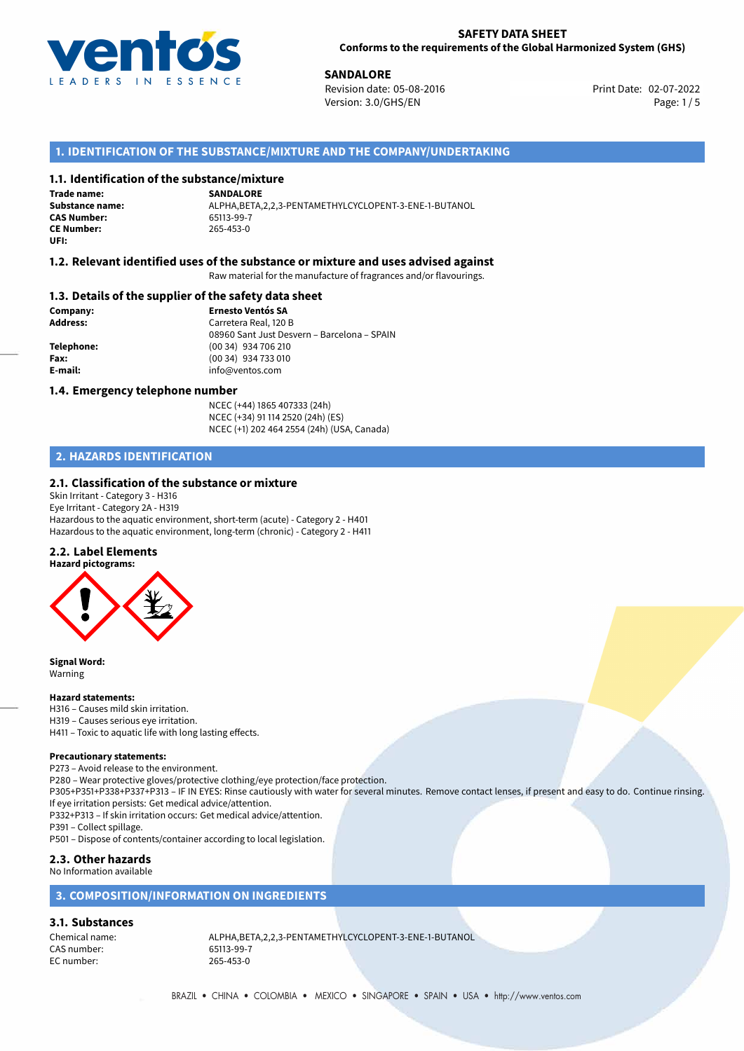

**SANDALORE**<br>
Revision date: 05-08-2016<br> **COVERENT SAND REVISION CONTRACT PROPERTY** Print Date: 02-07-2022 Revision date: 05-08-2016 Version: 3.0/GHS/EN Page: 1/5

# **1. IDENTIFICATION OF THE SUBSTANCE/MIXTURE AND THE COMPANY/UNDERTAKING**

# **1.1. Identification of the substance/mixture**

**Trade name: CAS Number: CE Number:** 265-453-0 **UFI:**

**SANDALORE Substance name:** ALPHA,BETA,2,2,3-PENTAMETHYLCYCLOPENT-3-ENE-1-BUTANOL

# **1.2. Relevant identified uses of the substance or mixture and uses advised against**

Raw material for the manufacture of fragrances and/or flavourings.

### **1.3. Details of the supplier of the safety data sheet**

**Company: Ernesto Ventós SA Address:** Carretera Real, 120 B 08960 Sant Just Desvern – Barcelona – SPAIN **Telephone:** (00 34) 934 706 210 **Fax:** (00 34) 934 733 010 **E-mail:** info@ventos.com

#### **1.4. Emergency telephone number**

NCEC (+44) 1865 407333 (24h) NCEC (+34) 91 114 2520 (24h) (ES) NCEC (+1) 202 464 2554 (24h) (USA, Canada)

# **2. HAZARDS IDENTIFICATION**

### **2.1. Classification of the substance or mixture**

Skin Irritant - Category 3 - H316 Eye Irritant - Category 2A - H319 Hazardous to the aquatic environment, short-term (acute) - Category 2 - H401 Hazardous to the aquatic environment, long-term (chronic) - Category 2 - H411

#### **2.2. Label Elements**



**Signal Word:** Warning

#### **Hazard statements:**

H316 – Causes mild skin irritation.

H319 – Causes serious eye irritation. H411 – Toxic to aquatic life with long lasting effects.

# **Precautionary statements:**

P273 – Avoid release to the environment.

P280 – Wear protective gloves/protective clothing/eye protection/face protection.

P305+P351+P338+P337+P313 – IF IN EYES: Rinse cautiously with water for several minutes. Remove contact lenses, if present and easy to do. Continue rinsing. If eye irritation persists: Get medical advice/attention.

P332+P313 – If skin irritation occurs: Get medical advice/attention.

P391 – Collect spillage.

P501 – Dispose of contents/container according to local legislation.

# **2.3. Other hazards**

### No Information available

# **3. COMPOSITION/INFORMATION ON INGREDIENTS**

#### **3.1. Substances**

CAS number: EC number: 265-453-0

Chemical name:  $ALPHA, BETA, 2, 2, 3-PENTAMETHYLCYCLOPENT-3-ENE-1-BUTANOL  
\nCAS number: 65113-99-7$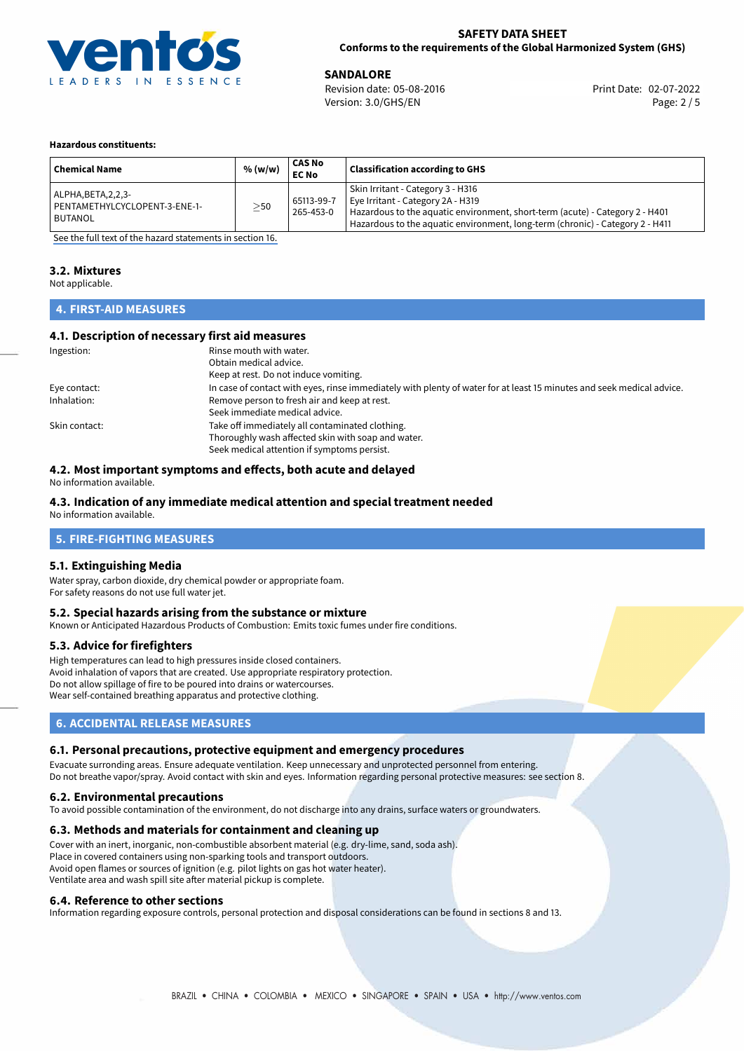

**SANDALORE**<br>
Revision date: 05-08-2016 **Print Date: 02-07-2022** Version: 3.0/GHS/EN Page: 2 / 5

#### **Hazardous constituents:**

| <b>Chemical Name</b>                                                | % (w/w) | CAS No<br><b>EC No</b>  | <b>Classification according to GHS</b>                                                                                                                                                                                                  |
|---------------------------------------------------------------------|---------|-------------------------|-----------------------------------------------------------------------------------------------------------------------------------------------------------------------------------------------------------------------------------------|
| ALPHA, BETA, 2, 2, 3-<br>PENTAMETHYLCYCLOPENT-3-ENE-1-<br>l BUTANOL | $>$ 50  | 65113-99-7<br>265-453-0 | Skin Irritant - Category 3 - H316<br>Eye Irritant - Category 2A - H319<br>Hazardous to the aquatic environment, short-term (acute) - Category 2 - H401<br>Hazardous to the aquatic environment, long-term (chronic) - Category 2 - H411 |

[See the full text of the hazard statements in section 16.](#page-4-0)

# **3.2. Mixtures**

Not applicable.

# **4. FIRST-AID MEASURES**

#### **4.1. Description of necessary first aid measures**

| Ingestion:    | Rinse mouth with water.                                                                                               |  |  |
|---------------|-----------------------------------------------------------------------------------------------------------------------|--|--|
|               | Obtain medical advice.                                                                                                |  |  |
|               | Keep at rest. Do not induce vomiting.                                                                                 |  |  |
| Eye contact:  | In case of contact with eyes, rinse immediately with plenty of water for at least 15 minutes and seek medical advice. |  |  |
| Inhalation:   | Remove person to fresh air and keep at rest.                                                                          |  |  |
|               | Seek immediate medical advice.                                                                                        |  |  |
| Skin contact: | Take off immediately all contaminated clothing.                                                                       |  |  |
|               | Thoroughly wash affected skin with soap and water.                                                                    |  |  |
|               | Seek medical attention if symptoms persist.                                                                           |  |  |

# **4.2. Most important symptoms and effects, both acute and delayed**

No information available.

# **4.3. Indication of any immediate medical attention and special treatment needed**

No information available.

# **5. FIRE-FIGHTING MEASURES**

#### **5.1. Extinguishing Media**

Water spray, carbon dioxide, dry chemical powder or appropriate foam. For safety reasons do not use full water jet.

#### **5.2. Special hazards arising from the substance or mixture**

Known or Anticipated Hazardous Products of Combustion: Emits toxic fumes under fire conditions.

#### **5.3. Advice for firefighters**

High temperatures can lead to high pressures inside closed containers. Avoid inhalation of vapors that are created. Use appropriate respiratory protection. Do not allow spillage of fire to be poured into drains or watercourses. Wear self-contained breathing apparatus and protective clothing.

# **6. ACCIDENTAL RELEASE MEASURES**

#### **6.1. Personal precautions, protective equipment and emergency procedures**

Evacuate surronding areas. Ensure adequate ventilation. Keep unnecessary and unprotected personnel from entering. Do not breathe vapor/spray. Avoid contact with skin and eyes. Information regarding personal protective measures: see section 8.

#### **6.2. Environmental precautions**

To avoid possible contamination of the environment, do not discharge into any drains, surface waters or groundwaters.

#### **6.3. Methods and materials for containment and cleaning up**

Cover with an inert, inorganic, non-combustible absorbent material (e.g. dry-lime, sand, soda ash). Place in covered containers using non-sparking tools and transport outdoors. Avoid open flames or sources of ignition (e.g. pilot lights on gas hot water heater). Ventilate area and wash spill site after material pickup is complete.

#### **6.4. Reference to other sections**

Information regarding exposure controls, personal protection and disposal considerations can be found in sections 8 and 13.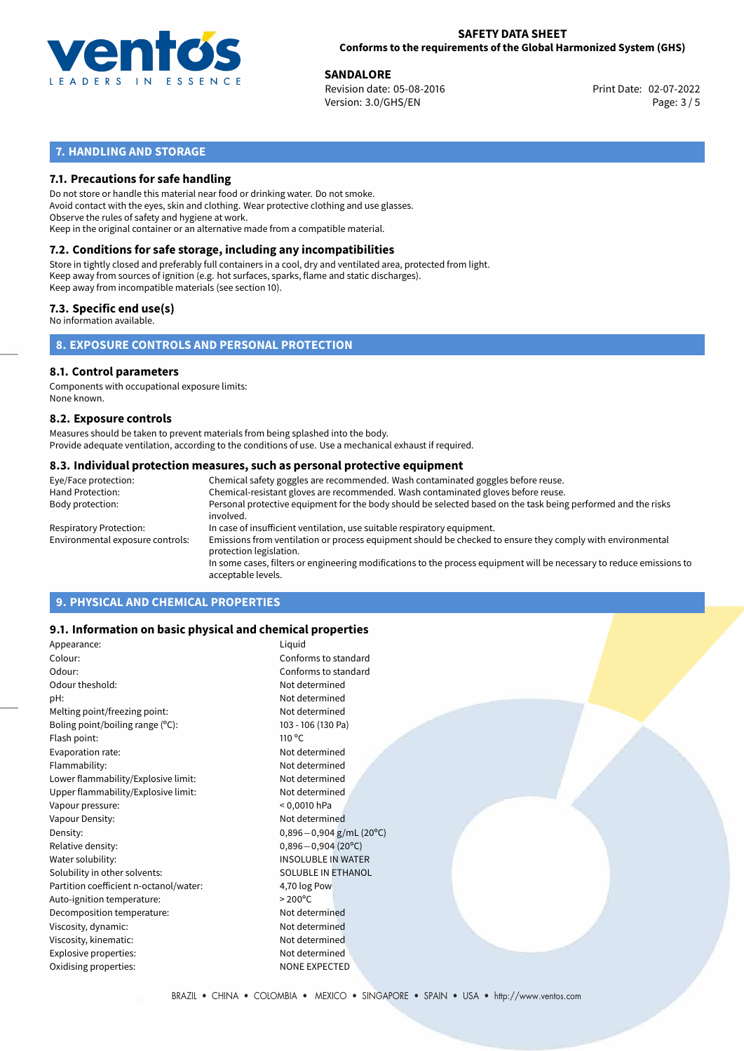

**SANDALORE**<br>
Revision date: 05-08-2016 **Print Date: 02-07-2022** Version: 3.0/GHS/EN Page: 3 / 5

# **7. HANDLING AND STORAGE**

# **7.1. Precautions for safe handling**

Do not store or handle this material near food or drinking water. Do not smoke. Avoid contact with the eyes, skin and clothing. Wear protective clothing and use glasses. Observe the rules of safety and hygiene at work. Keep in the original container or an alternative made from a compatible material.

# **7.2. Conditions for safe storage, including any incompatibilities**

Store in tightly closed and preferably full containers in a cool, dry and ventilated area, protected from light. Keep away from sources of ignition (e.g. hot surfaces, sparks, flame and static discharges). Keep away from incompatible materials (see section 10).

# **7.3. Specific end use(s)**

No information available.

**8. EXPOSURE CONTROLS AND PERSONAL PROTECTION**

# **8.1. Control parameters**

Components with occupational exposure limits: None known.

#### **8.2. Exposure controls**

Measures should be taken to prevent materials from being splashed into the body. Provide adequate ventilation, according to the conditions of use. Use a mechanical exhaust if required.

#### **8.3. Individual protection measures, such as personal protective equipment**

| Eye/Face protection:             | Chemical safety goggles are recommended. Wash contaminated goggles before reuse.                                                            |  |  |  |  |
|----------------------------------|---------------------------------------------------------------------------------------------------------------------------------------------|--|--|--|--|
| Hand Protection:                 | Chemical-resistant gloves are recommended. Wash contaminated gloves before reuse.                                                           |  |  |  |  |
| Body protection:                 | Personal protective equipment for the body should be selected based on the task being performed and the risks<br>involved.                  |  |  |  |  |
| Respiratory Protection:          | In case of insufficient ventilation, use suitable respiratory equipment.                                                                    |  |  |  |  |
| Environmental exposure controls: | Emissions from ventilation or process equipment should be checked to ensure they comply with environmental<br>protection legislation.       |  |  |  |  |
|                                  | In some cases, filters or engineering modifications to the process equipment will be necessary to reduce emissions to<br>acceptable levels. |  |  |  |  |
|                                  |                                                                                                                                             |  |  |  |  |

# **9. PHYSICAL AND CHEMICAL PROPERTIES**

### **9.1. Information on basic physical and chemical properties**

| Appearance:                            | Liquid                      |
|----------------------------------------|-----------------------------|
| Colour:                                | Conforms to standard        |
| Odour:                                 | Conforms to standard        |
| Odour theshold:                        | Not determined              |
| pH:                                    | Not determined              |
| Melting point/freezing point:          | Not determined              |
| Boling point/boiling range (°C):       | 103 - 106 (130 Pa)          |
| Flash point:                           | 110 °C                      |
| Evaporation rate:                      | Not determined              |
| Flammability:                          | Not determined              |
| Lower flammability/Explosive limit:    | Not determined              |
| Upper flammability/Explosive limit:    | Not determined              |
| Vapour pressure:                       | $< 0,0010$ hPa              |
| Vapour Density:                        | Not determined              |
| Density:                               | $0,896 - 0,904$ g/mL (20°C) |
| Relative density:                      | $0,896 - 0,904(20°C)$       |
| Water solubility:                      | <b>INSOLUBLE IN WATER</b>   |
| Solubility in other solvents:          | <b>SOLUBLE IN ETHANOL</b>   |
| Partition coefficient n-octanol/water: | 4,70 log Pow                |
| Auto-ignition temperature:             | $>200^{\circ}$ C            |
| Decomposition temperature:             | Not determined              |
| Viscosity, dynamic:                    | Not determined              |
| Viscosity, kinematic:                  | Not determined              |
| Explosive properties:                  | Not determined              |
| Oxidising properties:                  | <b>NONE EXPECTED</b>        |
|                                        |                             |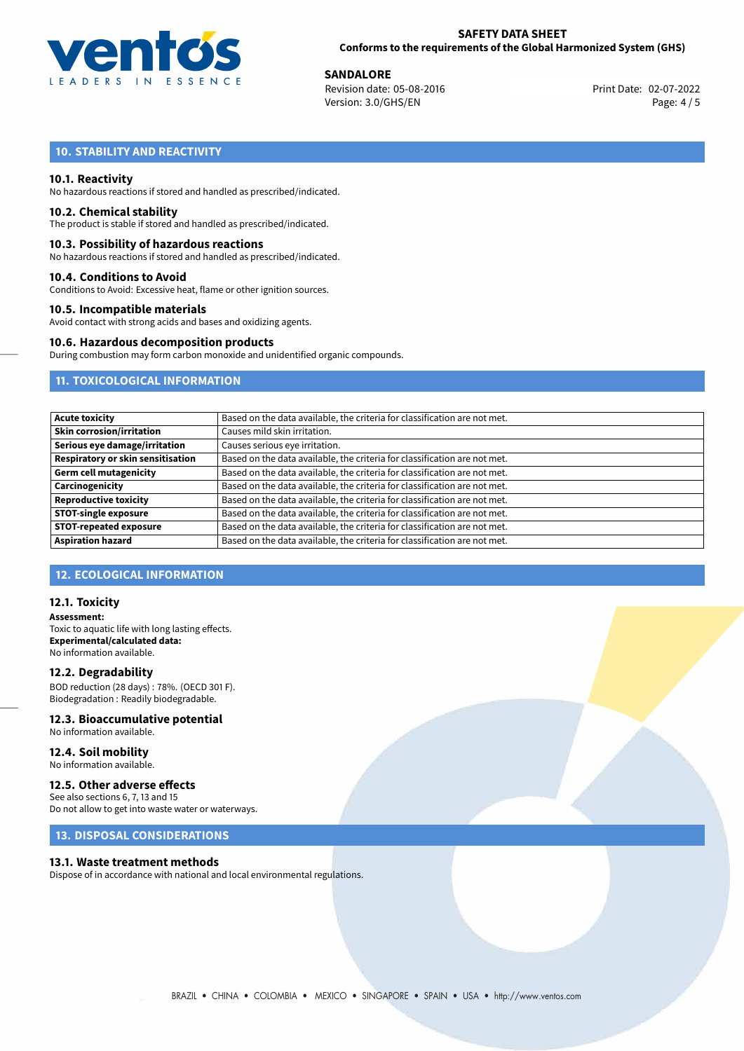

**SANDALORE**<br>
Revision date: 05-08-2016 **Print Date: 02-07-2022** Version: 3.0/GHS/EN Page: 4 / 5

# **10. STABILITY AND REACTIVITY**

#### **10.1. Reactivity**

No hazardous reactions if stored and handled as prescribed/indicated.

#### **10.2. Chemical stability**

The product is stable if stored and handled as prescribed/indicated.

#### **10.3. Possibility of hazardous reactions**

No hazardous reactions if stored and handled as prescribed/indicated.

#### **10.4. Conditions to Avoid**

Conditions to Avoid: Excessive heat, flame or other ignition sources.

#### **10.5. Incompatible materials**

Avoid contact with strong acids and bases and oxidizing agents.

#### **10.6. Hazardous decomposition products**

During combustion may form carbon monoxide and unidentified organic compounds.

# **11. TOXICOLOGICAL INFORMATION**

| <b>Acute toxicity</b>             | Based on the data available, the criteria for classification are not met. |
|-----------------------------------|---------------------------------------------------------------------------|
| <b>Skin corrosion/irritation</b>  | Causes mild skin irritation.                                              |
| Serious eye damage/irritation     | Causes serious eye irritation.                                            |
| Respiratory or skin sensitisation | Based on the data available, the criteria for classification are not met. |
| <b>Germ cell mutagenicity</b>     | Based on the data available, the criteria for classification are not met. |
| Carcinogenicity                   | Based on the data available, the criteria for classification are not met. |
| <b>Reproductive toxicity</b>      | Based on the data available, the criteria for classification are not met. |
| <b>STOT-single exposure</b>       | Based on the data available, the criteria for classification are not met. |
| <b>STOT-repeated exposure</b>     | Based on the data available, the criteria for classification are not met. |
| <b>Aspiration hazard</b>          | Based on the data available, the criteria for classification are not met. |

# **12. ECOLOGICAL INFORMATION**

#### **12.1. Toxicity**

**Assessment:** Toxic to aquatic life with long lasting effects. **Experimental/calculated data:** No information available.

#### **12.2. Degradability**

BOD reduction (28 days) : 78%. (OECD 301 F). Biodegradation : Readily biodegradable.

# **12.3. Bioaccumulative potential**

No information available.

#### **12.4. Soil mobility** No information available.

# **12.5. Other adverse effects**

See also sections 6, 7, 13 and 15 Do not allow to get into waste water or waterways.

# **13. DISPOSAL CONSIDERATIONS**

#### **13.1. Waste treatment methods**

Dispose of in accordance with national and local environmental regulations.